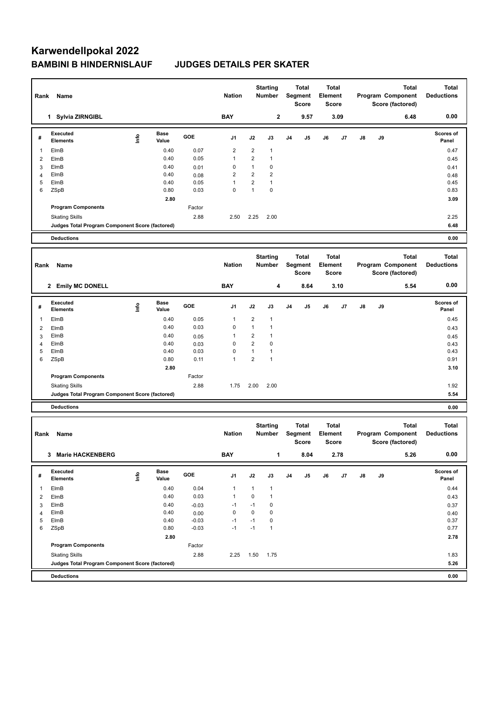# **Karwendellpokal 2022 BAMBINI B HINDERNISLAUF JUDGES DETAILS PER SKATER**

|                     | Rank<br>Name                                    |                                  |               | <b>Nation</b>   | <b>Starting</b><br>Number |                                | <b>Total</b><br>Segment<br><b>Score</b> |                | <b>Total</b><br><b>Element</b><br><b>Score</b> |         | <b>Total</b><br>Program Component<br>Score (factored) |    |    | <b>Total</b><br><b>Deductions</b>                     |                                   |
|---------------------|-------------------------------------------------|----------------------------------|---------------|-----------------|---------------------------|--------------------------------|-----------------------------------------|----------------|------------------------------------------------|---------|-------------------------------------------------------|----|----|-------------------------------------------------------|-----------------------------------|
|                     | 1 Sylvia ZIRNGIBL                               |                                  |               |                 | <b>BAY</b>                |                                | 2                                       |                | 9.57                                           |         | 3.09                                                  |    |    | 6.48                                                  | 0.00                              |
| #                   | Executed<br><b>Elements</b>                     | $\mathop{\mathsf{Int}}\nolimits$ | Base<br>Value | GOE             | J1                        | J2                             | J3                                      | J4             | J5                                             | J6      | J7                                                    | J8 | J9 |                                                       | Scores of<br>Panel                |
| 1                   | ElmB                                            |                                  | 0.40          | 0.07            | $\overline{\mathbf{c}}$   | $\overline{2}$                 | $\mathbf{1}$                            |                |                                                |         |                                                       |    |    |                                                       | 0.47                              |
| $\overline{2}$      | ElmB                                            |                                  | 0.40          | 0.05            | $\mathbf{1}$              | $\overline{c}$                 | $\mathbf{1}$                            |                |                                                |         |                                                       |    |    |                                                       | 0.45                              |
| 3                   | ElmB                                            |                                  | 0.40          | 0.01            | 0                         | $\mathbf{1}$                   | 0                                       |                |                                                |         |                                                       |    |    |                                                       | 0.41                              |
| 4                   | ElmB                                            |                                  | 0.40          | 0.08            | $\overline{2}$            | $\overline{2}$                 | $\overline{2}$                          |                |                                                |         |                                                       |    |    |                                                       | 0.48                              |
| 5<br>6              | ElmB                                            |                                  | 0.40          | 0.05<br>0.03    | $\mathbf{1}$<br>0         | $\overline{c}$<br>$\mathbf{1}$ | $\mathbf{1}$<br>0                       |                |                                                |         |                                                       |    |    |                                                       | 0.45                              |
|                     | ZSpB                                            |                                  | 0.80<br>2.80  |                 |                           |                                |                                         |                |                                                |         |                                                       |    |    |                                                       | 0.83<br>3.09                      |
|                     | <b>Program Components</b>                       |                                  |               | Factor          |                           |                                |                                         |                |                                                |         |                                                       |    |    |                                                       |                                   |
|                     | <b>Skating Skills</b>                           |                                  |               | 2.88            | 2.50                      | 2.25                           | 2.00                                    |                |                                                |         |                                                       |    |    |                                                       | 2.25                              |
|                     | Judges Total Program Component Score (factored) |                                  |               |                 |                           |                                |                                         |                |                                                |         |                                                       |    |    |                                                       | 6.48                              |
|                     | <b>Deductions</b>                               |                                  |               |                 |                           |                                |                                         |                |                                                |         |                                                       |    |    |                                                       | 0.00                              |
|                     |                                                 |                                  |               |                 |                           |                                |                                         |                |                                                |         |                                                       |    |    |                                                       |                                   |
| Rank                | Name                                            |                                  |               |                 | <b>Nation</b>             |                                | <b>Starting</b><br>Number               |                | <b>Total</b><br>Segment<br><b>Score</b>        | Element | Total<br><b>Score</b>                                 |    |    | <b>Total</b><br>Program Component<br>Score (factored) | <b>Total</b><br><b>Deductions</b> |
|                     | 2 Emily MC DONELL                               |                                  |               |                 | <b>BAY</b>                |                                | 4                                       |                | 8.64                                           |         | 3.10                                                  |    |    | 5.54                                                  | 0.00                              |
|                     | Executed                                        |                                  | Base          |                 |                           |                                |                                         |                |                                                |         |                                                       |    |    |                                                       | Scores of                         |
| #                   | <b>Elements</b>                                 | $\mathop{\mathsf{Int}}\nolimits$ | Value         | GOE             | J1                        | J2                             | J3                                      | J <sub>4</sub> | J5                                             | J6      | J7                                                    | J8 | J9 |                                                       | Panel                             |
| $\mathbf{1}$        | ElmB                                            |                                  | 0.40          | 0.05            | $\mathbf{1}$              | $\overline{2}$                 | $\mathbf{1}$                            |                |                                                |         |                                                       |    |    |                                                       | 0.45                              |
| $\overline{2}$      | ElmB                                            |                                  | 0.40          | 0.03            | 0                         | $\mathbf{1}$                   | $\mathbf{1}$                            |                |                                                |         |                                                       |    |    |                                                       | 0.43                              |
| 3                   | ElmB                                            |                                  | 0.40          | 0.05            | 1                         | $\overline{2}$                 | $\mathbf{1}$                            |                |                                                |         |                                                       |    |    |                                                       | 0.45                              |
| $\overline{4}$      | ElmB                                            |                                  | 0.40          | 0.03            | 0                         | $\overline{2}$                 | 0                                       |                |                                                |         |                                                       |    |    |                                                       | 0.43                              |
| 5                   | ElmB                                            |                                  | 0.40          | 0.03            | 0                         | $\mathbf{1}$                   | $\mathbf{1}$                            |                |                                                |         |                                                       |    |    |                                                       | 0.43                              |
| 6                   | ZSpB                                            |                                  | 0.80          | 0.11            | $\mathbf{1}$              | $\overline{2}$                 | 1                                       |                |                                                |         |                                                       |    |    |                                                       | 0.91                              |
|                     |                                                 |                                  | 2.80          |                 |                           |                                |                                         |                |                                                |         |                                                       |    |    |                                                       | 3.10                              |
|                     | <b>Program Components</b>                       |                                  |               | Factor          |                           |                                |                                         |                |                                                |         |                                                       |    |    |                                                       |                                   |
|                     | <b>Skating Skills</b>                           |                                  |               | 2.88            | 1.75                      | 2.00                           | 2.00                                    |                |                                                |         |                                                       |    |    |                                                       | 1.92                              |
|                     | Judges Total Program Component Score (factored) |                                  |               |                 |                           |                                |                                         |                |                                                |         |                                                       |    |    |                                                       | 5.54                              |
|                     | <b>Deductions</b>                               |                                  |               |                 |                           |                                |                                         |                |                                                |         |                                                       |    |    |                                                       | 0.00                              |
| Rank                | <b>Name</b>                                     |                                  |               |                 | <b>Nation</b>             |                                | <b>Starting</b><br>Number               |                | <b>Total</b><br>Segment<br>Score               | Element | <b>Total</b><br><b>Score</b>                          |    |    | <b>Total</b><br>Program Component<br>Score (factored) | <b>Total</b><br><b>Deductions</b> |
|                     | 3 Marie HACKENBERG                              |                                  |               |                 | <b>BAY</b>                |                                | 1                                       |                | 8.04                                           |         | 2.78                                                  |    |    | 5.26                                                  | 0.00                              |
| #                   | Executed<br>Elements                            | $\mathop{\mathsf{Int}}\nolimits$ | Base<br>Value | GOE             | J1                        | J2                             | J3                                      | J <sub>4</sub> | J5                                             | J6      | J7                                                    | J8 | J9 |                                                       | Scores of<br>Panel                |
| 1                   |                                                 |                                  | 0.40          |                 |                           |                                |                                         |                |                                                |         |                                                       |    |    |                                                       |                                   |
|                     | ElmB                                            |                                  | 0.40          | 0.04<br>0.03    | 1<br>1                    | $\mathbf{1}$<br>0              | $\mathbf{1}$<br>$\mathbf{1}$            |                |                                                |         |                                                       |    |    |                                                       | 0.44                              |
| $\overline{2}$<br>3 | ElmB<br>ElmB                                    |                                  | 0.40          |                 | $-1$                      | $-1$                           | 0                                       |                |                                                |         |                                                       |    |    |                                                       | 0.43                              |
| 4                   | ElmB                                            |                                  | 0.40          | $-0.03$<br>0.00 | 0                         | 0                              | $\pmb{0}$                               |                |                                                |         |                                                       |    |    |                                                       | 0.37<br>0.40                      |
| 5                   | ElmB                                            |                                  | 0.40          | $-0.03$         | $-1$                      | $-1$                           | $\pmb{0}$                               |                |                                                |         |                                                       |    |    |                                                       | 0.37                              |
| 6                   | ZSpB                                            |                                  | 0.80          | $-0.03$         | $-1$                      | $-1$                           | $\mathbf{1}$                            |                |                                                |         |                                                       |    |    |                                                       | 0.77                              |
|                     |                                                 |                                  | 2.80          |                 |                           |                                |                                         |                |                                                |         |                                                       |    |    |                                                       | 2.78                              |
|                     | <b>Program Components</b>                       |                                  |               | Factor          |                           |                                |                                         |                |                                                |         |                                                       |    |    |                                                       |                                   |
|                     | <b>Skating Skills</b>                           |                                  |               | 2.88            | 2.25                      | 1.50                           | 1.75                                    |                |                                                |         |                                                       |    |    |                                                       | 1.83                              |
|                     | Judges Total Program Component Score (factored) |                                  |               |                 |                           |                                |                                         |                |                                                |         |                                                       |    |    |                                                       | 5.26                              |
|                     | <b>Deductions</b>                               |                                  |               |                 |                           |                                |                                         |                |                                                |         |                                                       |    |    |                                                       | 0.00                              |
|                     |                                                 |                                  |               |                 |                           |                                |                                         |                |                                                |         |                                                       |    |    |                                                       |                                   |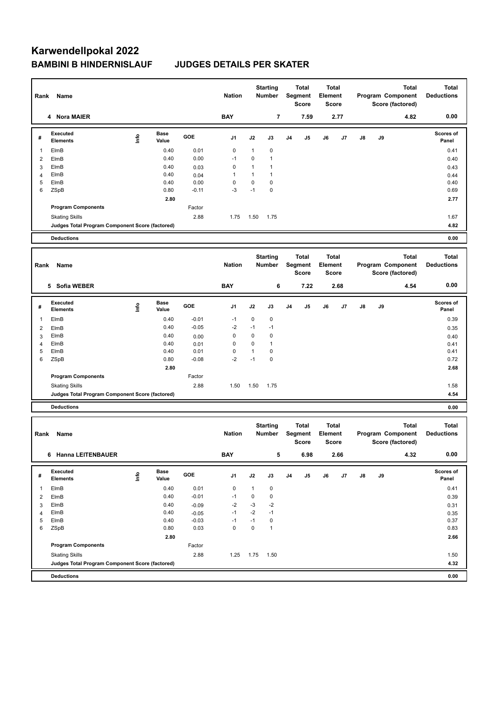# **Karwendellpokal 2022 BAMBINI B HINDERNISLAUF JUDGES DETAILS PER SKATER**

| Rank Name      |                                                                      |                                  | <b>Nation</b> | <b>Starting</b><br>Number |               |                           | <b>Total</b><br>Segment<br><b>Score</b> |                         | Total<br>Element<br><b>Score</b> |         | Program Component<br>Score (factored) | <b>Total</b><br><b>Deductions</b> |                   |                                   |                                   |
|----------------|----------------------------------------------------------------------|----------------------------------|---------------|---------------------------|---------------|---------------------------|-----------------------------------------|-------------------------|----------------------------------|---------|---------------------------------------|-----------------------------------|-------------------|-----------------------------------|-----------------------------------|
| 4 Nora MAIER   |                                                                      |                                  |               |                           | <b>BAY</b>    |                           | 7                                       |                         | 7.59                             |         | 2.77                                  |                                   |                   | 4.82                              | 0.00                              |
| #              | Executed<br><b>Elements</b>                                          | lnfo                             | Base<br>Value | GOE                       | J1            | J2                        | J3                                      | J <sub>4</sub>          | J5                               | J6      | J7                                    | J8                                | J9                |                                   | Scores of<br>Panel                |
| 1              | ElmB                                                                 |                                  | 0.40          | 0.01                      | 0             | 1                         | 0                                       |                         |                                  |         |                                       |                                   |                   |                                   | 0.41                              |
| 2              | ElmB                                                                 |                                  | 0.40          | 0.00                      | $-1$          | 0                         | $\mathbf{1}$                            |                         |                                  |         |                                       |                                   |                   |                                   | 0.40                              |
| 3              | ElmB                                                                 |                                  | 0.40          | 0.03                      | 0             | $\mathbf{1}$              | $\mathbf{1}$                            |                         |                                  |         |                                       |                                   |                   |                                   | 0.43                              |
| 4              | ElmB                                                                 |                                  | 0.40          | 0.04                      | 1             | 1                         | $\mathbf{1}$                            |                         |                                  |         |                                       |                                   |                   |                                   | 0.44                              |
| 5              | ElmB                                                                 |                                  | 0.40          | 0.00                      | 0             | 0                         | 0                                       |                         |                                  |         |                                       |                                   |                   |                                   | 0.40                              |
| 6              | ZSpB                                                                 |                                  | 0.80          | $-0.11$                   | $-3$          | $-1$                      | 0                                       |                         |                                  |         |                                       |                                   |                   |                                   | 0.69                              |
|                |                                                                      |                                  | 2.80          |                           |               |                           |                                         |                         |                                  |         |                                       |                                   |                   |                                   | 2.77                              |
|                | <b>Program Components</b>                                            |                                  |               | Factor                    |               |                           |                                         |                         |                                  |         |                                       |                                   |                   |                                   |                                   |
|                | <b>Skating Skills</b>                                                |                                  |               | 2.88                      | 1.75          | 1.50                      | 1.75                                    |                         |                                  |         |                                       |                                   |                   |                                   | 1.67<br>4.82                      |
|                | Judges Total Program Component Score (factored)<br><b>Deductions</b> |                                  |               |                           |               |                           |                                         |                         |                                  |         |                                       |                                   |                   |                                   | 0.00                              |
|                |                                                                      |                                  |               |                           |               |                           |                                         |                         |                                  |         |                                       |                                   |                   |                                   |                                   |
|                |                                                                      |                                  |               |                           |               | <b>Starting</b><br>Number |                                         | <b>Total</b><br>Segment |                                  | Total   |                                       |                                   |                   | <b>Total</b>                      |                                   |
| Rank           | Name                                                                 |                                  |               |                           | <b>Nation</b> |                           |                                         |                         |                                  | Element |                                       |                                   | Program Component | <b>Deductions</b>                 |                                   |
|                |                                                                      |                                  |               |                           |               |                           |                                         |                         | <b>Score</b>                     |         | <b>Score</b>                          |                                   |                   | Score (factored)                  |                                   |
|                |                                                                      |                                  |               |                           |               |                           |                                         |                         |                                  |         |                                       |                                   |                   |                                   | 0.00                              |
|                | 5 Sofia WEBER                                                        |                                  |               |                           | <b>BAY</b>    |                           | 6                                       |                         | 7.22                             |         | 2.68                                  |                                   |                   | 4.54                              |                                   |
|                | Executed                                                             |                                  | Base          |                           |               |                           |                                         |                         |                                  |         |                                       |                                   |                   |                                   | Scores of                         |
| #              | <b>Elements</b>                                                      | $\mathop{\mathsf{Irr}}\nolimits$ | Value         | GOE                       | J1            | J2                        | J3                                      | J4                      | J5                               | J6      | J7                                    | J8                                | J9                |                                   | Panel                             |
| 1              | ElmB                                                                 |                                  | 0.40          | $-0.01$                   | -1            | 0                         | 0                                       |                         |                                  |         |                                       |                                   |                   |                                   | 0.39                              |
| 2              | ElmB                                                                 |                                  | 0.40          | $-0.05$                   | $-2$          | $-1$                      | $-1$                                    |                         |                                  |         |                                       |                                   |                   |                                   | 0.35                              |
| 3              | ElmB                                                                 |                                  | 0.40          | 0.00                      | 0             | 0                         | 0                                       |                         |                                  |         |                                       |                                   |                   |                                   | 0.40                              |
| $\overline{4}$ | ElmB                                                                 |                                  | 0.40          | 0.01                      | 0             | 0                         | $\mathbf{1}$                            |                         |                                  |         |                                       |                                   |                   |                                   | 0.41                              |
| 5              | ElmB                                                                 |                                  | 0.40          | 0.01                      | 0             | $\mathbf{1}$              | 0                                       |                         |                                  |         |                                       |                                   |                   |                                   | 0.41                              |
| 6              | ZSpB                                                                 |                                  | 0.80          | $-0.08$                   | $-2$          | $-1$                      | 0                                       |                         |                                  |         |                                       |                                   |                   |                                   | 0.72                              |
|                |                                                                      |                                  | 2.80          |                           |               |                           |                                         |                         |                                  |         |                                       |                                   |                   |                                   | 2.68                              |
|                | <b>Program Components</b>                                            |                                  |               | Factor                    |               |                           |                                         |                         |                                  |         |                                       |                                   |                   |                                   |                                   |
|                | <b>Skating Skills</b>                                                |                                  |               | 2.88                      | 1.50          | 1.50                      | 1.75                                    |                         |                                  |         |                                       |                                   |                   |                                   | 1.58                              |
|                | Judges Total Program Component Score (factored)                      |                                  |               |                           |               |                           |                                         |                         |                                  |         |                                       |                                   |                   |                                   | 4.54                              |
|                | <b>Deductions</b>                                                    |                                  |               |                           |               |                           |                                         |                         |                                  |         |                                       |                                   |                   |                                   | 0.00                              |
|                |                                                                      |                                  |               |                           |               |                           |                                         |                         |                                  |         |                                       |                                   |                   |                                   |                                   |
| Rank           | Name                                                                 |                                  |               |                           | <b>Nation</b> |                           | <b>Starting</b><br>Number               |                         | <b>Total</b><br>Segment          | Element | <b>Total</b>                          |                                   |                   | <b>Total</b><br>Program Component | <b>Total</b><br><b>Deductions</b> |
|                |                                                                      |                                  |               |                           |               |                           |                                         |                         | <b>Score</b>                     |         | <b>Score</b>                          |                                   |                   | Score (factored)                  |                                   |
|                |                                                                      |                                  |               |                           |               |                           |                                         |                         |                                  |         |                                       |                                   |                   |                                   |                                   |
|                | 6 Hanna LEITENBAUER                                                  |                                  |               |                           | <b>BAY</b>    |                           | 5                                       |                         | 6.98                             |         | 2.66                                  |                                   |                   | 4.32                              | 0.00                              |
|                | Executed                                                             |                                  | Base          |                           |               |                           |                                         |                         |                                  |         |                                       |                                   |                   |                                   | Scores of                         |
| #              | Elements                                                             | $\mathop{\mathsf{Irr}}\nolimits$ | Value         | GOE                       | J1            | J2                        | J3                                      | J <sub>4</sub>          | J5                               | J6      | J7                                    | J8                                | J9                |                                   | Panel                             |
| 1              | ElmB                                                                 |                                  | 0.40          | 0.01                      | 0             | $\mathbf{1}$              | $\pmb{0}$                               |                         |                                  |         |                                       |                                   |                   |                                   | 0.41                              |
| $\overline{2}$ | ElmB                                                                 |                                  | 0.40          | $-0.01$                   | $-1$          | 0                         | $\pmb{0}$                               |                         |                                  |         |                                       |                                   |                   |                                   | 0.39                              |
| 3              | ElmB                                                                 |                                  | 0.40          | $-0.09$                   | $-2$          | $-3$                      | $-2$                                    |                         |                                  |         |                                       |                                   |                   |                                   | 0.31                              |
| $\overline{4}$ | ElmB                                                                 |                                  | 0.40          | $-0.05$                   | $-1$          | $-2$                      | $-1$                                    |                         |                                  |         |                                       |                                   |                   |                                   | 0.35                              |
| 5              | ElmB                                                                 |                                  | 0.40          | $-0.03$                   | -1            | $-1$                      | $\pmb{0}$                               |                         |                                  |         |                                       |                                   |                   |                                   | 0.37                              |
| 6              | ZSpB                                                                 |                                  | 0.80          | 0.03                      | 0             | 0                         | $\mathbf{1}$                            |                         |                                  |         |                                       |                                   |                   |                                   | 0.83                              |
|                |                                                                      |                                  | 2.80          |                           |               |                           |                                         |                         |                                  |         |                                       |                                   |                   |                                   | 2.66                              |
|                | <b>Program Components</b>                                            |                                  |               | Factor                    |               |                           |                                         |                         |                                  |         |                                       |                                   |                   |                                   |                                   |
|                | <b>Skating Skills</b>                                                |                                  |               | 2.88                      | 1.25          | 1.75                      | 1.50                                    |                         |                                  |         |                                       |                                   |                   |                                   | 1.50                              |
|                | Judges Total Program Component Score (factored)                      |                                  |               |                           |               |                           |                                         |                         |                                  |         |                                       |                                   |                   |                                   | 4.32                              |
|                | <b>Deductions</b>                                                    |                                  |               |                           |               |                           |                                         |                         |                                  |         |                                       |                                   |                   |                                   | 0.00                              |